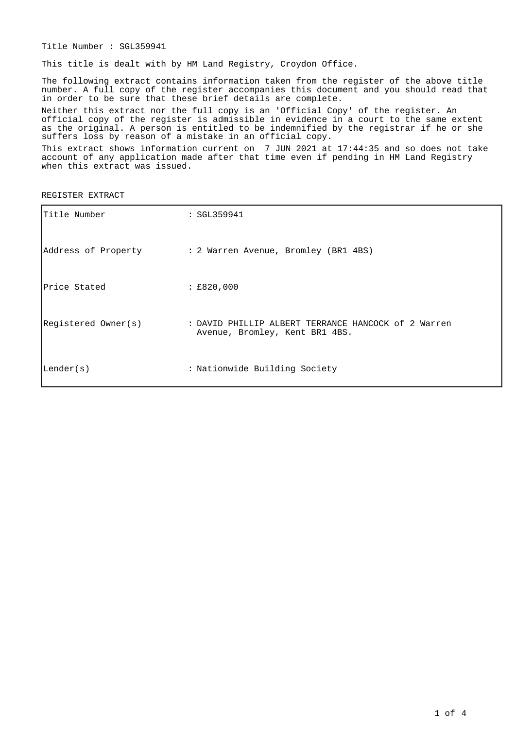Title Number : SGL359941

This title is dealt with by HM Land Registry, Croydon Office.

The following extract contains information taken from the register of the above title number. A full copy of the register accompanies this document and you should read that in order to be sure that these brief details are complete.

Neither this extract nor the full copy is an 'Official Copy' of the register. An official copy of the register is admissible in evidence in a court to the same extent as the original. A person is entitled to be indemnified by the registrar if he or she suffers loss by reason of a mistake in an official copy.

This extract shows information current on 7 JUN 2021 at 17:44:35 and so does not take account of any application made after that time even if pending in HM Land Registry when this extract was issued.

REGISTER EXTRACT

| Title Number        | :SGL359941                                                                            |
|---------------------|---------------------------------------------------------------------------------------|
|                     | Address of Property : 2 Warren Avenue, Bromley (BR1 4BS)                              |
| Price Stated        | : E820,000                                                                            |
| Registered Owner(s) | : DAVID PHILLIP ALBERT TERRANCE HANCOCK of 2 Warren<br>Avenue, Bromley, Kent BR1 4BS. |
| Lender(s)           | : Nationwide Building Society                                                         |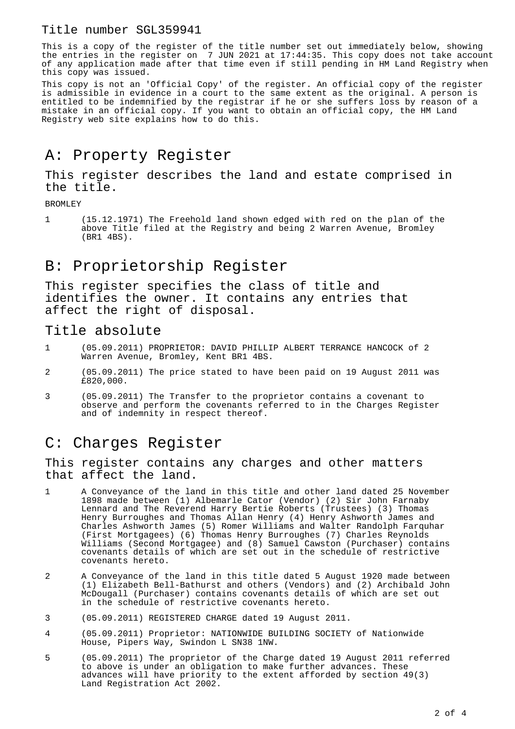#### Title number SGL359941

This is a copy of the register of the title number set out immediately below, showing the entries in the register on 7 JUN 2021 at 17:44:35. This copy does not take account of any application made after that time even if still pending in HM Land Registry when this copy was issued.

This copy is not an 'Official Copy' of the register. An official copy of the register is admissible in evidence in a court to the same extent as the original. A person is entitled to be indemnified by the registrar if he or she suffers loss by reason of a mistake in an official copy. If you want to obtain an official copy, the HM Land Registry web site explains how to do this.

# A: Property Register

This register describes the land and estate comprised in the title.

BROMLEY

1 (15.12.1971) The Freehold land shown edged with red on the plan of the above Title filed at the Registry and being 2 Warren Avenue, Bromley (BR1 4BS).

## B: Proprietorship Register

This register specifies the class of title and identifies the owner. It contains any entries that affect the right of disposal.

### Title absolute

- 1 (05.09.2011) PROPRIETOR: DAVID PHILLIP ALBERT TERRANCE HANCOCK of 2 Warren Avenue, Bromley, Kent BR1 4BS.
- 2 (05.09.2011) The price stated to have been paid on 19 August 2011 was £820,000.
- 3 (05.09.2011) The Transfer to the proprietor contains a covenant to observe and perform the covenants referred to in the Charges Register and of indemnity in respect thereof.

## C: Charges Register

This register contains any charges and other matters that affect the land.

- 1 A Conveyance of the land in this title and other land dated 25 November 1898 made between (1) Albemarle Cator (Vendor) (2) Sir John Farnaby Lennard and The Reverend Harry Bertie Roberts (Trustees) (3) Thomas Henry Burroughes and Thomas Allan Henry (4) Henry Ashworth James and Charles Ashworth James (5) Romer Williams and Walter Randolph Farquhar (First Mortgagees) (6) Thomas Henry Burroughes (7) Charles Reynolds Williams (Second Mortgagee) and (8) Samuel Cawston (Purchaser) contains covenants details of which are set out in the schedule of restrictive covenants hereto.
- 2 A Conveyance of the land in this title dated 5 August 1920 made between (1) Elizabeth Bell-Bathurst and others (Vendors) and (2) Archibald John McDougall (Purchaser) contains covenants details of which are set out in the schedule of restrictive covenants hereto.
- 3 (05.09.2011) REGISTERED CHARGE dated 19 August 2011.
- 4 (05.09.2011) Proprietor: NATIONWIDE BUILDING SOCIETY of Nationwide House, Pipers Way, Swindon L SN38 1NW.
- 5 (05.09.2011) The proprietor of the Charge dated 19 August 2011 referred to above is under an obligation to make further advances. These advances will have priority to the extent afforded by section 49(3) Land Registration Act 2002.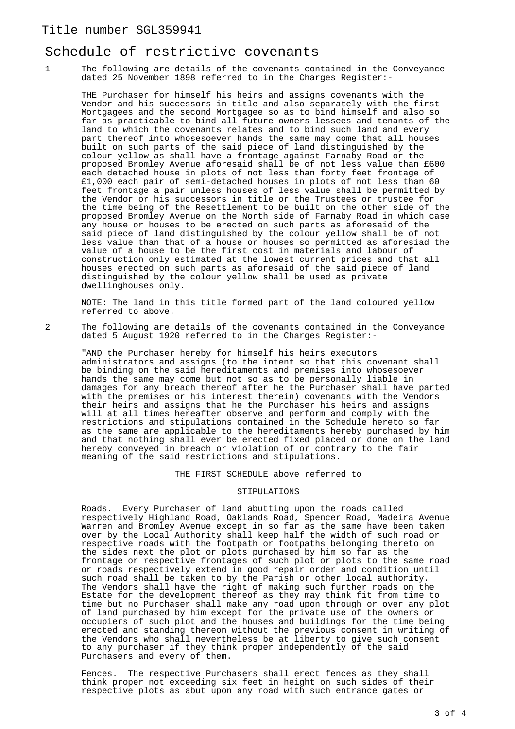#### Title number SGL359941

#### Schedule of restrictive covenants

1 The following are details of the covenants contained in the Conveyance dated 25 November 1898 referred to in the Charges Register:-

THE Purchaser for himself his heirs and assigns covenants with the Vendor and his successors in title and also separately with the first Mortgagees and the second Mortgagee so as to bind himself and also so far as practicable to bind all future owners lessees and tenants of the land to which the covenants relates and to bind such land and every part thereof into whosesoever hands the same may come that all houses built on such parts of the said piece of land distinguished by the colour yellow as shall have a frontage against Farnaby Road or the proposed Bromley Avenue aforesaid shall be of not less value than £600 each detached house in plots of not less than forty feet frontage of £1,000 each pair of semi-detached houses in plots of not less than 60 feet frontage a pair unless houses of less value shall be permitted by the Vendor or his successors in title or the Trustees or trustee for the time being of the Resettlement to be built on the other side of the proposed Bromley Avenue on the North side of Farnaby Road in which case any house or houses to be erected on such parts as aforesaid of the said piece of land distinguished by the colour yellow shall be of not less value than that of a house or houses so permitted as aforesiad the value of a house to be the first cost in materials and labour of construction only estimated at the lowest current prices and that all houses erected on such parts as aforesaid of the said piece of land distinguished by the colour yellow shall be used as private dwellinghouses only.

NOTE: The land in this title formed part of the land coloured yellow referred to above.

2 The following are details of the covenants contained in the Conveyance dated 5 August 1920 referred to in the Charges Register:-

"AND the Purchaser hereby for himself his heirs executors administrators and assigns (to the intent so that this covenant shall be binding on the said hereditaments and premises into whosesoever hands the same may come but not so as to be personally liable in damages for any breach thereof after he the Purchaser shall have parted with the premises or his interest therein) covenants with the Vendors their heirs and assigns that he the Purchaser his heirs and assigns will at all times hereafter observe and perform and comply with the restrictions and stipulations contained in the Schedule hereto so far as the same are applicable to the hereditaments hereby purchased by him and that nothing shall ever be erected fixed placed or done on the land hereby conveyed in breach or violation of or contrary to the fair meaning of the said restrictions and stipulations.

#### THE FIRST SCHEDULE above referred to

#### STIPULATIONS

Roads. Every Purchaser of land abutting upon the roads called respectively Highland Road, Oaklands Road, Spencer Road, Madeira Avenue Warren and Bromley Avenue except in so far as the same have been taken over by the Local Authority shall keep half the width of such road or respective roads with the footpath or footpaths belonging thereto on the sides next the plot or plots purchased by him so far as the frontage or respective frontages of such plot or plots to the same road or roads respectively extend in good repair order and condition until such road shall be taken to by the Parish or other local authority. The Vendors shall have the right of making such further roads on the Estate for the development thereof as they may think fit from time to time but no Purchaser shall make any road upon through or over any plot of land purchased by him except for the private use of the owners or occupiers of such plot and the houses and buildings for the time being erected and standing thereon without the previous consent in writing of the Vendors who shall nevertheless be at liberty to give such consent to any purchaser if they think proper independently of the said Purchasers and every of them.

Fences. The respective Purchasers shall erect fences as they shall think proper not exceeding six feet in height on such sides of their respective plots as abut upon any road with such entrance gates or